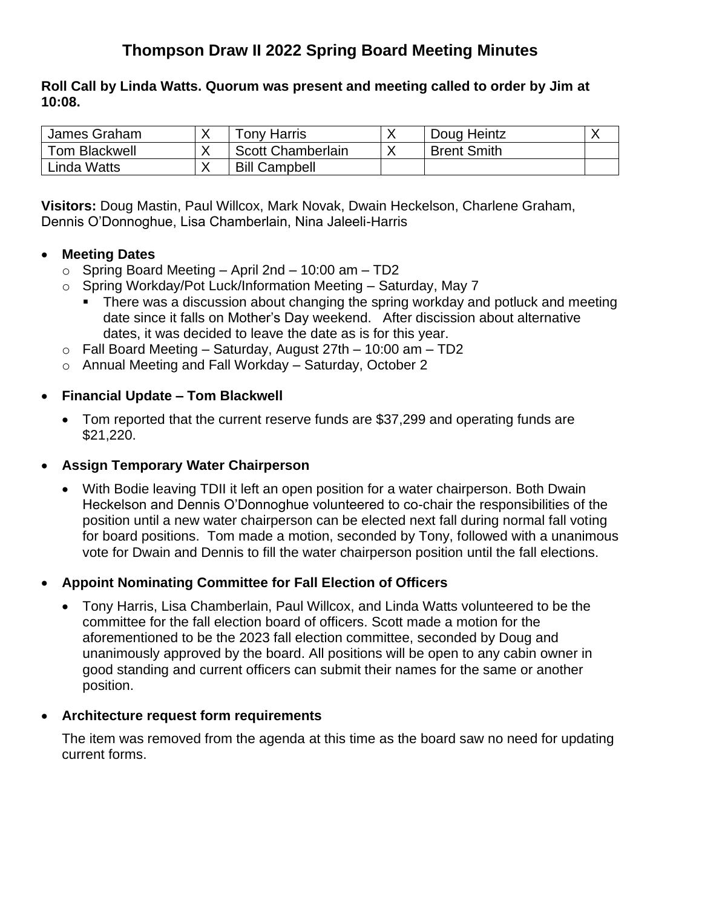# **Thompson Draw II 2022 Spring Board Meeting Minutes**

**Roll Call by Linda Watts. Quorum was present and meeting called to order by Jim at 10:08.**

| James Graham         | Tonv Harris              | Doug Heintz        |  |
|----------------------|--------------------------|--------------------|--|
| <b>Tom Blackwell</b> | <b>Scott Chamberlain</b> | <b>Brent Smith</b> |  |
| Linda Watts          | <b>Bill Campbell</b>     |                    |  |

**Visitors:** Doug Mastin, Paul Willcox, Mark Novak, Dwain Heckelson, Charlene Graham, Dennis O'Donnoghue, Lisa Chamberlain, Nina Jaleeli-Harris

## • **Meeting Dates**

- $\circ$  Spring Board Meeting April 2nd 10:00 am TD2
- o Spring Workday/Pot Luck/Information Meeting Saturday, May 7
	- There was a discussion about changing the spring workday and potluck and meeting date since it falls on Mother's Day weekend. After discission about alternative dates, it was decided to leave the date as is for this year.
- $\circ$  Fall Board Meeting Saturday, August 27th 10:00 am TD2
- o Annual Meeting and Fall Workday Saturday, October 2

#### • **Financial Update – Tom Blackwell**

- Tom reported that the current reserve funds are \$37,299 and operating funds are \$21,220.
- **Assign Temporary Water Chairperson**
	- With Bodie leaving TDII it left an open position for a water chairperson. Both Dwain Heckelson and Dennis O'Donnoghue volunteered to co-chair the responsibilities of the position until a new water chairperson can be elected next fall during normal fall voting for board positions. Tom made a motion, seconded by Tony, followed with a unanimous vote for Dwain and Dennis to fill the water chairperson position until the fall elections.

## • **Appoint Nominating Committee for Fall Election of Officers**

• Tony Harris, Lisa Chamberlain, Paul Willcox, and Linda Watts volunteered to be the committee for the fall election board of officers. Scott made a motion for the aforementioned to be the 2023 fall election committee, seconded by Doug and unanimously approved by the board. All positions will be open to any cabin owner in good standing and current officers can submit their names for the same or another position.

#### • **Architecture request form requirements**

The item was removed from the agenda at this time as the board saw no need for updating current forms.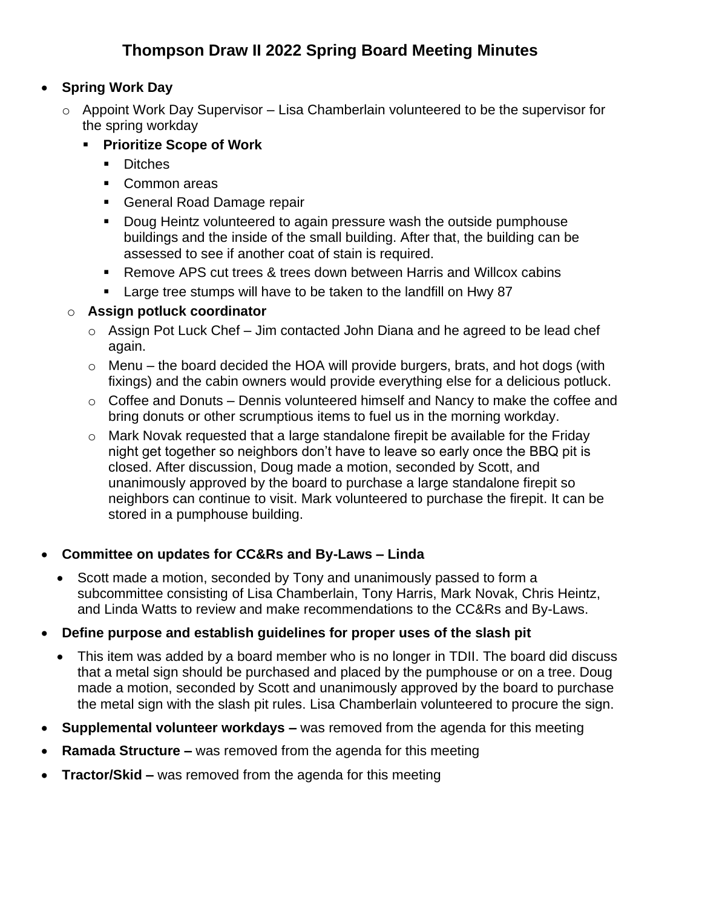# **Thompson Draw II 2022 Spring Board Meeting Minutes**

# • **Spring Work Day**

- $\circ$  Appoint Work Day Supervisor Lisa Chamberlain volunteered to be the supervisor for the spring workday
	- **Prioritize Scope of Work**
		- Ditches
		- Common areas
		- General Road Damage repair
		- Doug Heintz volunteered to again pressure wash the outside pumphouse buildings and the inside of the small building. After that, the building can be assessed to see if another coat of stain is required.
		- Remove APS cut trees & trees down between Harris and Willcox cabins
		- Large tree stumps will have to be taken to the landfill on Hwy 87

#### o **Assign potluck coordinator**

- $\circ$  Assign Pot Luck Chef Jim contacted John Diana and he agreed to be lead chef again.
- $\circ$  Menu the board decided the HOA will provide burgers, brats, and hot dogs (with fixings) and the cabin owners would provide everything else for a delicious potluck.
- $\circ$  Coffee and Donuts Dennis volunteered himself and Nancy to make the coffee and bring donuts or other scrumptious items to fuel us in the morning workday.
- o Mark Novak requested that a large standalone firepit be available for the Friday night get together so neighbors don't have to leave so early once the BBQ pit is closed. After discussion, Doug made a motion, seconded by Scott, and unanimously approved by the board to purchase a large standalone firepit so neighbors can continue to visit. Mark volunteered to purchase the firepit. It can be stored in a pumphouse building.

## • **Committee on updates for CC&Rs and By-Laws – Linda**

• Scott made a motion, seconded by Tony and unanimously passed to form a subcommittee consisting of Lisa Chamberlain, Tony Harris, Mark Novak, Chris Heintz, and Linda Watts to review and make recommendations to the CC&Rs and By-Laws.

## • **Define purpose and establish guidelines for proper uses of the slash pit**

- This item was added by a board member who is no longer in TDII. The board did discuss that a metal sign should be purchased and placed by the pumphouse or on a tree. Doug made a motion, seconded by Scott and unanimously approved by the board to purchase the metal sign with the slash pit rules. Lisa Chamberlain volunteered to procure the sign.
- **Supplemental volunteer workdays –** was removed from the agenda for this meeting
- **Ramada Structure** was removed from the agenda for this meeting
- **Tractor/Skid –** was removed from the agenda for this meeting